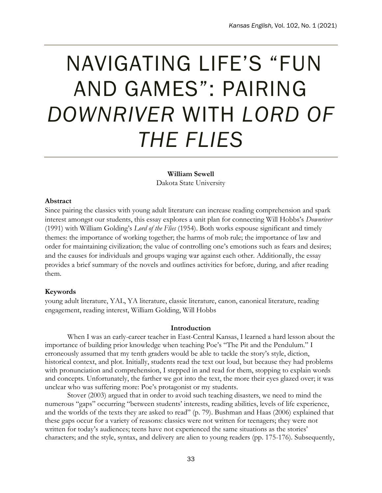# NAVIGATING LIFE'S "FUN AND GAMES": PAIRING *DOWNRIVER* WITH *LORD OF THE FLIES*

# **William Sewell**

Dakota State University

# **Abstract**

Since pairing the classics with young adult literature can increase reading comprehension and spark interest amongst our students, this essay explores a unit plan for connecting Will Hobbs's *Downriver*  (1991) with William Golding's *Lord of the Flies* (1954). Both works espouse significant and timely themes: the importance of working together; the harms of mob rule; the importance of law and order for maintaining civilization; the value of controlling one's emotions such as fears and desires; and the causes for individuals and groups waging war against each other. Additionally, the essay provides a brief summary of the novels and outlines activities for before, during, and after reading them.

# **Keywords**

young adult literature, YAL, YA literature, classic literature, canon, canonical literature, reading engagement, reading interest, William Golding, Will Hobbs

# **Introduction**

When I was an early-career teacher in East-Central Kansas, I learned a hard lesson about the importance of building prior knowledge when teaching Poe's "The Pit and the Pendulum." I erroneously assumed that my tenth graders would be able to tackle the story's style, diction, historical context, and plot. Initially, students read the text out loud, but because they had problems with pronunciation and comprehension, I stepped in and read for them, stopping to explain words and concepts. Unfortunately, the farther we got into the text, the more their eyes glazed over; it was unclear who was suffering more: Poe's protagonist or my students.

Stover (2003) argued that in order to avoid such teaching disasters, we need to mind the numerous "gaps" occurring "between students' interests, reading abilities, levels of life experience, and the worlds of the texts they are asked to read" (p. 79). Bushman and Haas (2006) explained that these gaps occur for a variety of reasons: classics were not written for teenagers; they were not written for today's audiences; teens have not experienced the same situations as the stories' characters; and the style, syntax, and delivery are alien to young readers (pp. 175-176). Subsequently,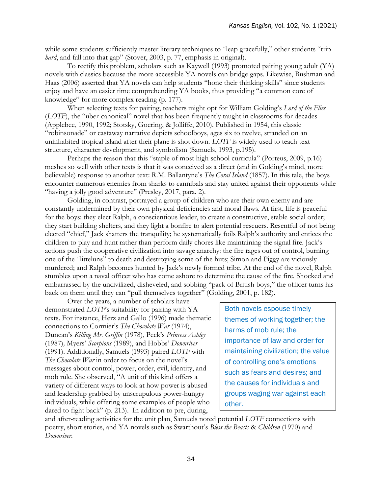while some students sufficiently master literary techniques to "leap gracefully," other students "trip" *hard*, and fall into that gap" (Stover, 2003, p. 77, emphasis in original).

To rectify this problem, scholars such as Kaywell (1993) promoted pairing young adult (YA) novels with classics because the more accessible YA novels can bridge gaps. Likewise, Bushman and Haas (2006) asserted that YA novels can help students "hone their thinking skills" since students enjoy and have an easier time comprehending YA books, thus providing "a common core of knowledge" for more complex reading (p. 177).

When selecting texts for pairing, teachers might opt for William Golding's *Lord of the Flies* (*LOTF*), the "uber-canonical" novel that has been frequently taught in classrooms for decades (Applebee, 1990, 1992; Stotsky, Goering, & Jolliffe, 2010). Published in 1954, this classic "robinsonade" or castaway narrative depicts schoolboys, ages six to twelve, stranded on an uninhabited tropical island after their plane is shot down. *LOTF* is widely used to teach text structure, character development, and symbolism (Samuels, 1993, p.195).

Perhaps the reason that this "staple of most high school curricula" (Porteus, 2009, p.16) meshes so well with other texts is that it was conceived as a direct (and in Golding's mind, more believable) response to another text: R.M. Ballantyne's *The Coral Island* (1857). In this tale, the boys encounter numerous enemies from sharks to cannibals and stay united against their opponents while "having a jolly good adventure" (Presley, 2017, para. 2).

Golding, in contrast, portrayed a group of children who are their own enemy and are constantly undermined by their own physical deficiencies and moral flaws. At first, life is peaceful for the boys: they elect Ralph, a conscientious leader, to create a constructive, stable social order; they start building shelters, and they light a bonfire to alert potential rescuers. Resentful of not being elected "chief," Jack shatters the tranquility; he systematically foils Ralph's authority and entices the children to play and hunt rather than perform daily chores like maintaining the signal fire. Jack's actions push the cooperative civilization into savage anarchy: the fire rages out of control, burning one of the "litteluns" to death and destroying some of the huts; Simon and Piggy are viciously murdered; and Ralph becomes hunted by Jack's newly formed tribe. At the end of the novel, Ralph stumbles upon a naval officer who has come ashore to determine the cause of the fire. Shocked and embarrassed by the uncivilized, disheveled, and sobbing "pack of British boys," the officer turns his back on them until they can "pull themselves together" (Golding, 2001, p. 182).

Over the years, a number of scholars have demonstrated *LOTF*'s suitability for pairing with YA texts. For instance, Herz and Gallo (1996) made thematic connections to Cormier's *The Chocolate War* (1974), Duncan's *Killing Mr. Griffin* (1978), Peck's *Princess Ashley* (1987)*,* Myers' *Scorpions* (1989), and Hobbs' *Downriver* (1991). Additionally, Samuels (1993) paired *LOTF* with *The Chocolate War* in order to focus on the novel's messages about control, power, order, evil, identity, and mob rule. She observed, "A unit of this kind offers a variety of different ways to look at how power is abused and leadership grabbed by unscrupulous power-hungry individuals, while offering some examples of people who dared to fight back" (p. 213). In addition to pre, during,

Both novels espouse timely themes of working together; the harms of mob rule; the importance of law and order for maintaining civilization; the value of controlling one's emotions such as fears and desires; and the causes for individuals and groups waging war against each other.

and after-reading activities for the unit plan, Samuels noted potential *LOTF* connections with poetry, short stories, and YA novels such as Swarthout's *Bless the Beasts* & *Children* (1970) and *Downriver*.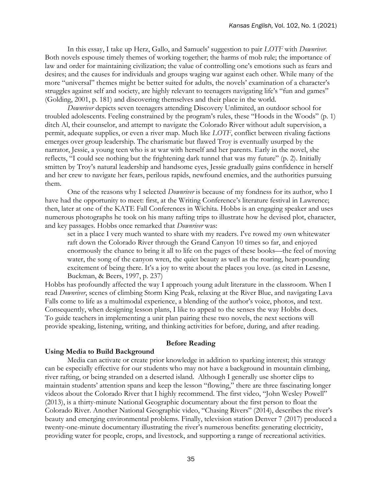In this essay, I take up Herz, Gallo, and Samuels' suggestion to pair *LOTF* with *Downriver*. Both novels espouse timely themes of working together; the harms of mob rule; the importance of law and order for maintaining civilization; the value of controlling one's emotions such as fears and desires; and the causes for individuals and groups waging war against each other. While many of the more "universal" themes might be better suited for adults, the novels' examination of a character's struggles against self and society, are highly relevant to teenagers navigating life's "fun and games" (Golding, 2001, p. 181) and discovering themselves and their place in the world.

*Downriver* depicts seven teenagers attending Discovery Unlimited, an outdoor school for troubled adolescents. Feeling constrained by the program's rules, these "Hoods in the Woods" (p. 1) ditch Al, their counselor, and attempt to navigate the Colorado River without adult supervision, a permit, adequate supplies, or even a river map. Much like *LOTF*, conflict between rivaling factions emerges over group leadership. The charismatic but flawed Troy is eventually usurped by the narrator, Jessie, a young teen who is at war with herself and her parents. Early in the novel, she reflects, "I could see nothing but the frightening dark tunnel that was my future" (p. 2). Initially smitten by Troy's natural leadership and handsome eyes, Jessie gradually gains confidence in herself and her crew to navigate her fears, perilous rapids, newfound enemies, and the authorities pursuing them.

One of the reasons why I selected *Downriver* is because of my fondness for its author, who I have had the opportunity to meet: first, at the Writing Conference's literature festival in Lawrence; then, later at one of the KATE Fall Conferences in Wichita. Hobbs is an engaging speaker and uses numerous photographs he took on his many rafting trips to illustrate how he devised plot, character, and key passages. Hobbs once remarked that *Downriver* was:

set in a place I very much wanted to share with my readers. I've rowed my own whitewater raft down the Colorado River through the Grand Canyon 10 times so far, and enjoyed enormously the chance to bring it all to life on the pages of these books—the feel of moving water, the song of the canyon wren, the quiet beauty as well as the roaring, heart-pounding excitement of being there. It's a joy to write about the places you love. (as cited in Lesesne, Buckman, & Beers, 1997, p. 237)

Hobbs has profoundly affected the way I approach young adult literature in the classroom. When I read *Downriver*, scenes of climbing Storm King Peak, relaxing at the River Blue, and navigating Lava Falls come to life as a multimodal experience, a blending of the author's voice, photos, and text. Consequently, when designing lesson plans, I like to appeal to the senses the way Hobbs does. To guide teachers in implementing a unit plan pairing these two novels, the next sections will provide speaking, listening, writing, and thinking activities for before, during, and after reading.

## **Before Reading**

## **Using Media to Build Background**

Media can activate or create prior knowledge in addition to sparking interest; this strategy can be especially effective for our students who may not have a background in mountain climbing, river rafting, or being stranded on a deserted island. Although I generally use shorter clips to maintain students' attention spans and keep the lesson "flowing," there are three fascinating longer videos about the Colorado River that I highly recommend. The first video, "John Wesley Powell" (2013), is a thirty-minute National Geographic documentary about the first person to float the Colorado River. Another National Geographic video, "Chasing Rivers" (2014), describes the river's beauty and emerging environmental problems. Finally, television station Denver 7 (2017) produced a twenty-one-minute documentary illustrating the river's numerous benefits: generating electricity, providing water for people, crops, and livestock, and supporting a range of recreational activities.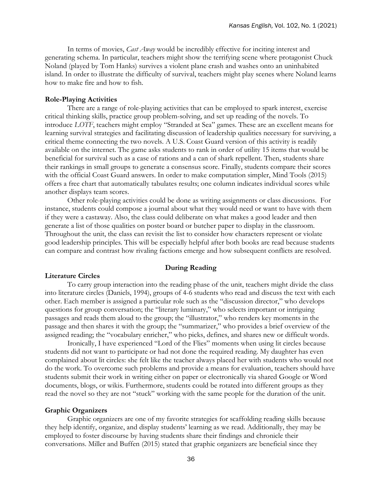In terms of movies, *Cast Away* would be incredibly effective for inciting interest and generating schema. In particular, teachers might show the terrifying scene where protagonist Chuck Noland (played by Tom Hanks) survives a violent plane crash and washes onto an uninhabited island. In order to illustrate the difficulty of survival, teachers might play scenes where Noland learns how to make fire and how to fish.

## **Role-Playing Activities**

There are a range of role-playing activities that can be employed to spark interest, exercise critical thinking skills, practice group problem-solving, and set up reading of the novels. To introduce *LOTF*, teachers might employ "Stranded at Sea" games. These are an excellent means for learning survival strategies and facilitating discussion of leadership qualities necessary for surviving, a critical theme connecting the two novels. A U.S. Coast Guard version of this activity is readily available on the internet. The game asks students to rank in order of utility 15 items that would be beneficial for survival such as a case of rations and a can of shark repellent. Then, students share their rankings in small groups to generate a consensus score. Finally, students compare their scores with the official Coast Guard answers. In order to make computation simpler, Mind Tools (2015) offers a free chart that automatically tabulates results; one column indicates individual scores while another displays team scores.

Other role-playing activities could be done as writing assignments or class discussions. For instance, students could compose a journal about what they would need or want to have with them if they were a castaway. Also, the class could deliberate on what makes a good leader and then generate a list of those qualities on poster board or butcher paper to display in the classroom. Throughout the unit, the class can revisit the list to consider how characters represent or violate good leadership principles. This will be especially helpful after both books are read because students can compare and contrast how rivaling factions emerge and how subsequent conflicts are resolved.

#### **During Reading**

#### **Literature Circles**

To carry group interaction into the reading phase of the unit, teachers might divide the class into literature circles (Daniels, 1994), groups of 4-6 students who read and discuss the text with each other. Each member is assigned a particular role such as the "discussion director," who develops questions for group conversation; the "literary luminary," who selects important or intriguing passages and reads them aloud to the group; the "illustrator," who renders key moments in the passage and then shares it with the group; the "summarizer," who provides a brief overview of the assigned reading; the "vocabulary enricher," who picks, defines, and shares new or difficult words.

Ironically, I have experienced "Lord of the Flies" moments when using lit circles because students did not want to participate or had not done the required reading. My daughter has even complained about lit circles: she felt like the teacher always placed her with students who would not do the work. To overcome such problems and provide a means for evaluation, teachers should have students submit their work in writing either on paper or electronically via shared Google or Word documents, blogs, or wikis. Furthermore, students could be rotated into different groups as they read the novel so they are not "stuck" working with the same people for the duration of the unit.

# **Graphic Organizers**

Graphic organizers are one of my favorite strategies for scaffolding reading skills because they help identify, organize, and display students' learning as we read. Additionally, they may be employed to foster discourse by having students share their findings and chronicle their conversations. Miller and Buffen (2015) stated that graphic organizers are beneficial since they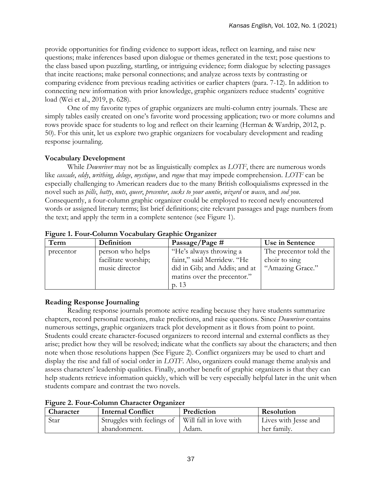provide opportunities for finding evidence to support ideas, reflect on learning, and raise new questions; make inferences based upon dialogue or themes generated in the text; pose questions to the class based upon puzzling, startling, or intriguing evidence; form dialogue by selecting passages that incite reactions; make personal connections; and analyze across texts by contrasting or comparing evidence from previous reading activities or earlier chapters (para. 7-12). In addition to connecting new information with prior knowledge, graphic organizers reduce students' cognitive load (Wei et al., 2019, p. 628).

One of my favorite types of graphic organizers are multi-column entry journals. These are simply tables easily created on one's favorite word processing application; two or more columns and rows provide space for students to log and reflect on their learning (Herman & Wardrip, 2012, p. 50). For this unit, let us explore two graphic organizers for vocabulary development and reading response journaling.

# **Vocabulary Development**

While *Downriver* may not be as linguistically complex as *LOTF*, there are numerous words like *cascade*, *eddy*, *writhing*, *deluge*, *mystique*, and *rogue* that may impede comprehension. *LOTF* can be especially challenging to American readers due to the many British colloquialisms expressed in the novel such as *pills*, *batty*, *nuts*, *queer*, *precentor*, *sucks to your auntie*, *wizard* or *wacco*, and *sod you*. Consequently, a four-column graphic organizer could be employed to record newly encountered words or assigned literary terms; list brief definitions; cite relevant passages and page numbers from the text; and apply the term in a complete sentence (see Figure 1).

| Term      | Definition          | Passage/Page $#$              | Use in Sentence        |
|-----------|---------------------|-------------------------------|------------------------|
| precentor | person who helps    | "He's always throwing a       | The precentor told the |
|           | facilitate worship; | faint," said Merridew. "He    | choir to sing          |
|           | music director      | did in Gib; and Addis; and at | "Amazing Grace."       |
|           |                     | matins over the precentor."   |                        |
|           |                     | p. 13                         |                        |

# **Figure 1. Four-Column Vocabulary Graphic Organizer**

# **Reading Response Journaling**

Reading response journals promote active reading because they have students summarize chapters, record personal reactions, make predictions, and raise questions. Since *Downriver* contains numerous settings, graphic organizers track plot development as it flows from point to point. Students could create character-focused organizers to record internal and external conflicts as they arise; predict how they will be resolved; indicate what the conflicts say about the characters; and then note when those resolutions happen (See Figure 2). Conflict organizers may be used to chart and display the rise and fall of social order in *LOTF*. Also, organizers could manage theme analysis and assess characters' leadership qualities. Finally, another benefit of graphic organizers is that they can help students retrieve information quickly, which will be very especially helpful later in the unit when students compare and contrast the two novels.

| Character | <b>Internal Conflict</b>                            | Prediction | Resolution           |  |
|-----------|-----------------------------------------------------|------------|----------------------|--|
| Star      | Struggles with feelings of   Will fall in love with |            | Lives with Jesse and |  |
|           | abandonment.                                        | Adam.      | her family.          |  |

# **Figure 2. Four-Column Character Organizer**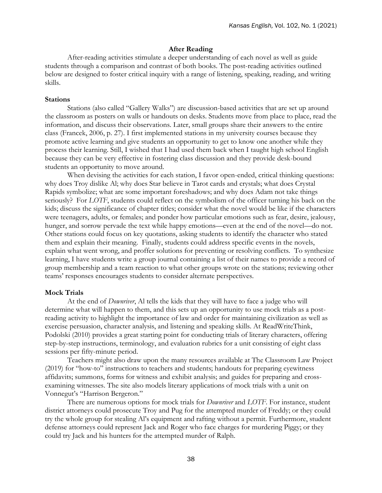# **After Reading**

After-reading activities stimulate a deeper understanding of each novel as well as guide students through a comparison and contrast of both books. The post-reading activities outlined below are designed to foster critical inquiry with a range of listening, speaking, reading, and writing skills.

# **Stations**

Stations (also called "Gallery Walks") are discussion-based activities that are set up around the classroom as posters on walls or handouts on desks. Students move from place to place, read the information, and discuss their observations. Later, small groups share their answers to the entire class (Francek, 2006, p. 27). I first implemented stations in my university courses because they promote active learning and give students an opportunity to get to know one another while they process their learning. Still, I wished that I had used them back when I taught high school English because they can be very effective in fostering class discussion and they provide desk-bound students an opportunity to move around.

When devising the activities for each station, I favor open-ended, critical thinking questions: why does Troy dislike Al; why does Star believe in Tarot cards and crystals; what does Crystal Rapids symbolize; what are some important foreshadows; and why does Adam not take things seriously? For *LOTF*, students could reflect on the symbolism of the officer turning his back on the kids; discuss the significance of chapter titles; consider what the novel would be like if the characters were teenagers, adults, or females; and ponder how particular emotions such as fear, desire, jealousy, hunger, and sorrow pervade the text while happy emotions—even at the end of the novel—do not. Other stations could focus on key quotations, asking students to identify the character who stated them and explain their meaning. Finally, students could address specific events in the novels, explain what went wrong, and proffer solutions for preventing or resolving conflicts. To synthesize learning, I have students write a group journal containing a list of their names to provide a record of group membership and a team reaction to what other groups wrote on the stations; reviewing other teams' responses encourages students to consider alternate perspectives.

## **Mock Trials**

At the end of *Downriver*, Al tells the kids that they will have to face a judge who will determine what will happen to them, and this sets up an opportunity to use mock trials as a postreading activity to highlight the importance of law and order for maintaining civilization as well as exercise persuasion, character analysis, and listening and speaking skills. At ReadWriteThink, Podolski (2010) provides a great starting point for conducting trials of literary characters, offering step-by-step instructions, terminology, and evaluation rubrics for a unit consisting of eight class sessions per fifty-minute period.

Teachers might also draw upon the many resources available at The Classroom Law Project (2019) for "how-to" instructions to teachers and students; handouts for preparing eyewitness affidavits; summons, forms for witness and exhibit analysis; and guides for preparing and crossexamining witnesses. The site also models literary applications of mock trials with a unit on Vonnegut's "Harrison Bergeron."

There are numerous options for mock trials for *Downriver* and *LOTF*. For instance, student district attorneys could prosecute Troy and Pug for the attempted murder of Freddy; or they could try the whole group for stealing Al's equipment and rafting without a permit. Furthermore, student defense attorneys could represent Jack and Roger who face charges for murdering Piggy; or they could try Jack and his hunters for the attempted murder of Ralph.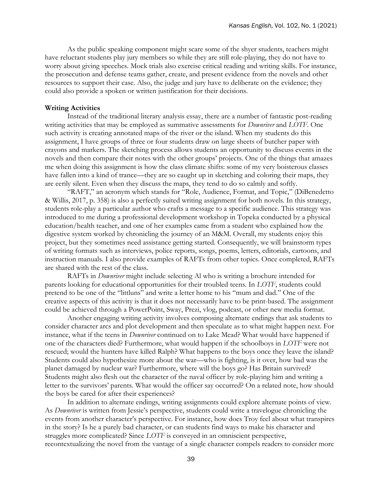As the public speaking component might scare some of the shyer students, teachers might have reluctant students play jury members so while they are still role-playing, they do not have to worry about giving speeches. Mock trials also exercise critical reading and writing skills. For instance, the prosecution and defense teams gather, create, and present evidence from the novels and other resources to support their case. Also, the judge and jury have to deliberate on the evidence; they could also provide a spoken or written justification for their decisions.

## **Writing Activities**

Instead of the traditional literary analysis essay, there are a number of fantastic post-reading writing activities that may be employed as summative assessments for *Downriver* and *LOTF*. One such activity is creating annotated maps of the river or the island. When my students do this assignment, I have groups of three or four students draw on large sheets of butcher paper with crayons and markers. The sketching process allows students an opportunity to discuss events in the novels and then compare their notes with the other groups' projects. One of the things that amazes me when doing this assignment is how the class climate shifts: some of my very boisterous classes have fallen into a kind of trance—they are so caught up in sketching and coloring their maps, they are eerily silent. Even when they discuss the maps, they tend to do so calmly and softly.

"RAFT," an acronym which stands for "Role, Audience, Format, and Topic," (DiBenedetto & Willis, 2017, p. 358) is also a perfectly suited writing assignment for both novels. In this strategy, students role-play a particular author who crafts a message to a specific audience. This strategy was introduced to me during a professional development workshop in Topeka conducted by a physical education/health teacher, and one of her examples came from a student who explained how the digestive system worked by chronicling the journey of an M&M. Overall, my students enjoy this project, but they sometimes need assistance getting started. Consequently, we will brainstorm types of writing formats such as interviews, police reports, songs, poems, letters, editorials, cartoons, and instruction manuals. I also provide examples of RAFTs from other topics. Once completed, RAFTs are shared with the rest of the class.

RAFTs in *Downriver* might include selecting Al who is writing a brochure intended for parents looking for educational opportunities for their troubled teens. In *LOTF*, students could pretend to be one of the "littluns" and write a letter home to his "mum and dad." One of the creative aspects of this activity is that it does not necessarily have to be print-based. The assignment could be achieved through a PowerPoint, Sway, Prezi, vlog, podcast, or other new media format.

Another engaging writing activity involves composing alternate endings that ask students to consider character arcs and plot development and then speculate as to what might happen next. For instance, what if the teens in *Downriver* continued on to Lake Mead? What would have happened if one of the characters died? Furthermore, what would happen if the schoolboys in *LOTF* were not rescued; would the hunters have killed Ralph? What happens to the boys once they leave the island? Students could also hypothesize more about the war—who is fighting, is it over, how bad was the planet damaged by nuclear war? Furthermore, where will the boys go? Has Britain survived? Students might also flesh out the character of the naval officer by role-playing him and writing a letter to the survivors' parents. What would the officer say occurred? On a related note, how should the boys be cared for after their experiences?

In addition to alternate endings, writing assignments could explore alternate points of view. As *Downriver* is written from Jessie's perspective, students could write a travelogue chronicling the events from another character's perspective. For instance, how does Troy feel about what transpires in the story? Is he a purely bad character, or can students find ways to make his character and struggles more complicated? Since *LOTF* is conveyed in an omniscient perspective, recontextualizing the novel from the vantage of a single character compels readers to consider more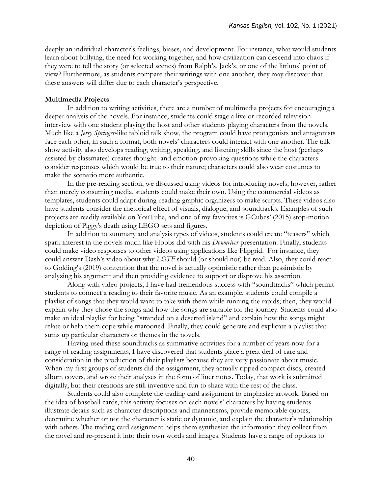deeply an individual character's feelings, biases, and development. For instance, what would students learn about bullying, the need for working together, and how civilization can descend into chaos if they were to tell the story (or selected scenes) from Ralph's, Jack's, or one of the littluns' point of view? Furthermore, as students compare their writings with one another, they may discover that these answers will differ due to each character's perspective.

## **Multimedia Projects**

In addition to writing activities, there are a number of multimedia projects for encouraging a deeper analysis of the novels. For instance, students could stage a live or recorded television interview with one student playing the host and other students playing characters from the novels. Much like a *Jerry Springer*-like tabloid talk show, the program could have protagonists and antagonists face each other; in such a format, both novels' characters could interact with one another. The talk show activity also develops reading, writing, speaking, and listening skills since the host (perhaps assisted by classmates) creates thought- and emotion-provoking questions while the characters consider responses which would be true to their nature; characters could also wear costumes to make the scenario more authentic.

In the pre-reading section, we discussed using videos for introducing novels; however, rather than merely consuming media, students could make their own. Using the commercial videos as templates, students could adapt during-reading graphic organizers to make scripts. These videos also have students consider the rhetorical effect of visuals, dialogue, and soundtracks. Examples of such projects are readily available on YouTube, and one of my favorites is GCubes' (2015) stop-motion depiction of Piggy's death using LEGO sets and figures.

In addition to summary and analysis types of videos, students could create "teasers" which spark interest in the novels much like Hobbs did with his *Downriver* presentation. Finally, students could make video responses to other videos using applications like Flipgrid. For instance, they could answer Dash's video about why *LOTF* should (or should not) be read. Also, they could react to Golding's (2019) contention that the novel is actually optimistic rather than pessimistic by analyzing his argument and then providing evidence to support or disprove his assertion.

Along with video projects, I have had tremendous success with "soundtracks" which permit students to connect a reading to their favorite music. As an example, students could compile a playlist of songs that they would want to take with them while running the rapids; then, they would explain why they chose the songs and how the songs are suitable for the journey. Students could also make an ideal playlist for being "stranded on a deserted island" and explain how the songs might relate or help them cope while marooned. Finally, they could generate and explicate a playlist that sums up particular characters or themes in the novels.

Having used these soundtracks as summative activities for a number of years now for a range of reading assignments, I have discovered that students place a great deal of care and consideration in the production of their playlists because they are very passionate about music. When my first groups of students did the assignment, they actually ripped compact discs, created album covers, and wrote their analyses in the form of liner notes. Today, that work is submitted digitally, but their creations are still inventive and fun to share with the rest of the class.

Students could also complete the trading card assignment to emphasize artwork. Based on the idea of baseball cards, this activity focuses on each novels' characters by having students illustrate details such as character descriptions and mannerisms, provide memorable quotes, determine whether or not the character is static or dynamic, and explain the character's relationship with others. The trading card assignment helps them synthesize the information they collect from the novel and re-present it into their own words and images. Students have a range of options to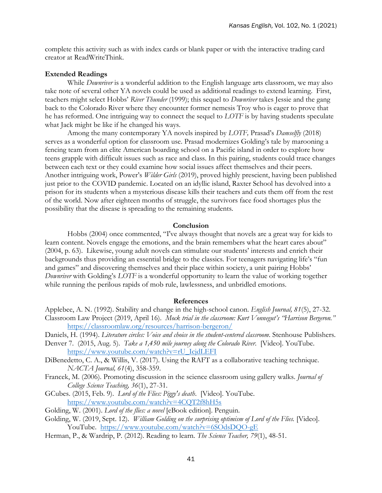complete this activity such as with index cards or blank paper or with the interactive trading card creator at ReadWriteThink.

## **Extended Readings**

While *Downriver* is a wonderful addition to the English language arts classroom, we may also take note of several other YA novels could be used as additional readings to extend learning. First, teachers might select Hobbs' *River Thunder* (1999); this sequel to *Downriver* takes Jessie and the gang back to the Colorado River where they encounter former nemesis Troy who is eager to prove that he has reformed. One intriguing way to connect the sequel to *LOTF* is by having students speculate what Jack might be like if he changed his ways.

Among the many contemporary YA novels inspired by *LOTF,* Prasad's *Damselfly* (2018) serves as a wonderful option for classroom use. Prasad modernizes Golding's tale by marooning a fencing team from an elite American boarding school on a Pacific island in order to explore how teens grapple with difficult issues such as race and class. In this pairing, students could trace changes between each text or they could examine how social issues affect themselves and their peers. Another intriguing work, Power's *Wilder Girls* (2019), proved highly prescient, having been published just prior to the COVID pandemic. Located on an idyllic island, Raxter School has devolved into a prison for its students when a mysterious disease kills their teachers and cuts them off from the rest of the world. Now after eighteen months of struggle, the survivors face food shortages plus the possibility that the disease is spreading to the remaining students.

# **Conclusion**

Hobbs (2004) once commented, "I've always thought that novels are a great way for kids to learn content. Novels engage the emotions, and the brain remembers what the heart cares about" (2004, p. 63). Likewise, young adult novels can stimulate our students' interests and enrich their backgrounds thus providing an essential bridge to the classics. For teenagers navigating life's "fun and games" and discovering themselves and their place within society, a unit pairing Hobbs' *Downriver* with Golding's *LOTF* is a wonderful opportunity to learn the value of working together while running the perilous rapids of mob rule, lawlessness, and unbridled emotions.

#### **References**

- Applebee, A. N. (1992). Stability and change in the high-school canon. *English Journal, 81*(5), 27-32. Classroom Law Project (2019, April 16). *Mock trial in the classroom: Kurt Vonnegut's "Harrison Bergeron."* <https://classroomlaw.org/resources/harrison-bergeron/>
- Daniels, H. (1994). *Literature circles: Voice and choice in the student-centered classroom*. Stenhouse Publishers.
- Denver 7. (2015, Aug. 5). *Take a 1,450 mile journey along the Colorado River*. [Video]. YouTube. [https://www.youtube.com/watch?v=rU\\_IcjdLEFI](https://www.youtube.com/watch?v=rU_IcjdLEFI)
- DiBenedetto, C. A., & Willis, V. (2017). Using the RAFT as a collaborative teaching technique. *NACTA Journal, 61*(4), 358-359.
- Francek, M. (2006). Promoting discussion in the science classroom using gallery walks. *Journal of College Science Teaching, 36*(1), 27-31.
- GCubes. (2015, Feb. 9). *Lord of the Flies: Piggy's death*. [Video]. YouTube. <https://www.youtube.com/watch?v=4CQT2f8hH5s>
- Golding, W. (2001). *Lord of the flies: a novel* [eBook edition]. Penguin.
- Golding, W. (2019, Sept. 12). *William Golding on the surprising optimism of Lord of the Flies.* [Video]. YouTube. <https://www.youtube.com/watch?v=6SOdsDQO-gE>
- Herman, P., & Wardrip, P. (2012). Reading to learn. *The Science Teacher, 79*(1), 48-51.